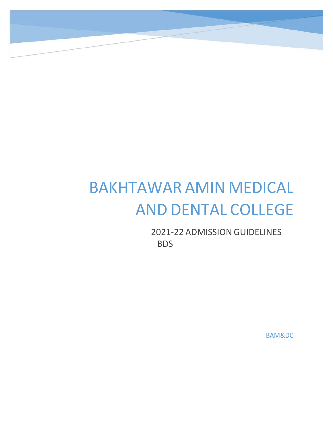# BAKHTAWAR AMIN MEDICAL AND DENTAL COLLEGE

2021‐22 ADMISSION GUIDELINES BDS

BAM&DC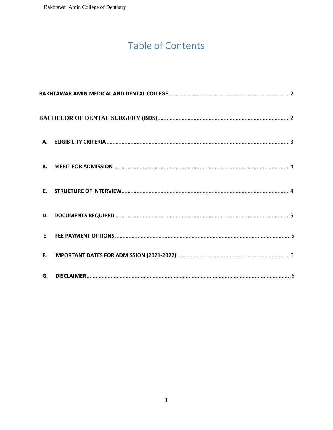## Table of Contents

| А.             |  |  |
|----------------|--|--|
| <b>B.</b>      |  |  |
| $\mathsf{C}$ . |  |  |
| D.             |  |  |
|                |  |  |
| F.             |  |  |
| G.             |  |  |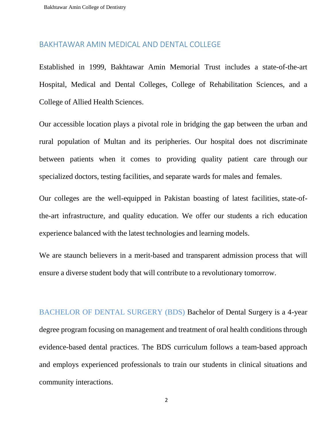#### BAKHTAWAR AMIN MEDICAL AND DENTAL COLLEGE

Established in 1999, Bakhtawar Amin Memorial Trust includes a state-of-the-art Hospital, Medical and Dental Colleges, College of Rehabilitation Sciences, and a College of Allied Health Sciences.

Our accessible location plays a pivotal role in bridging the gap between the urban and rural population of Multan and its peripheries. Our hospital does not discriminate between patients when it comes to providing quality patient care through our specialized doctors, testing facilities, and separate wards for males and females.

Our colleges are the well-equipped in Pakistan boasting of latest facilities, state-ofthe-art infrastructure, and quality education. We offer our students a rich education experience balanced with the latest technologies and learning models.

We are staunch believers in a merit-based and transparent admission process that will ensure a diverse student body that will contribute to a revolutionary tomorrow.

BACHELOR OF DENTAL SURGERY (BDS) Bachelor of Dental Surgery is a 4-year degree program focusing on management and treatment of oral health conditions through evidence-based dental practices. The BDS curriculum follows a team-based approach and employs experienced professionals to train our students in clinical situations and community interactions.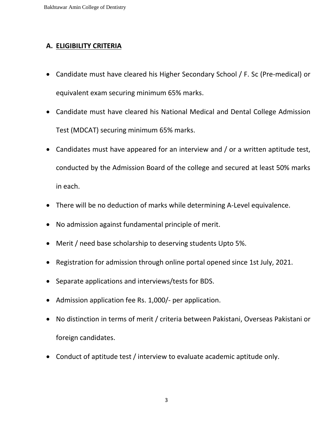#### **A. ELIGIBILITY CRITERIA**

- Candidate must have cleared his Higher Secondary School / F. Sc (Pre-medical) or equivalent exam securing minimum 65% marks.
- Candidate must have cleared his National Medical and Dental College Admission Test (MDCAT) securing minimum 65% marks.
- Candidates must have appeared for an interview and / or a written aptitude test, conducted by the Admission Board of the college and secured at least 50% marks in each.
- There will be no deduction of marks while determining A-Level equivalence.
- No admission against fundamental principle of merit.
- Merit / need base scholarship to deserving students Upto 5%.
- Registration for admission through online portal opened since 1st July, 2021.
- Separate applications and interviews/tests for BDS.
- Admission application fee Rs. 1,000/- per application.
- No distinction in terms of merit / criteria between Pakistani, Overseas Pakistani or foreign candidates.
- Conduct of aptitude test / interview to evaluate academic aptitude only.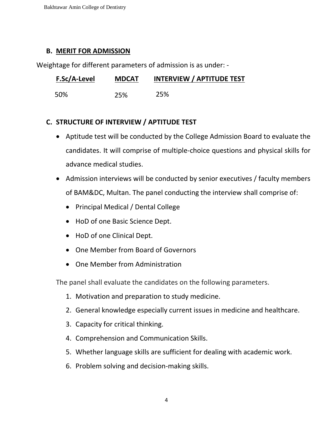Bakhtawar Amin College of Dentistry

#### **B. MERIT FOR ADMISSION**

Weightage for different parameters of admission is as under: -

| F.Sc/A-Level | <b>MDCAT</b> | <b>INTERVIEW / APTITUDE TEST</b> |
|--------------|--------------|----------------------------------|
| 50%          | 25%          | 25%                              |

#### **C. STRUCTURE OF INTERVIEW / APTITUDE TEST**

- Aptitude test will be conducted by the College Admission Board to evaluate the candidates. It will comprise of multiple-choice questions and physical skills for advance medical studies.
- Admission interviews will be conducted by senior executives / faculty members of BAM&DC, Multan. The panel conducting the interview shall comprise of:
	- Principal Medical / Dental College
	- HoD of one Basic Science Dept.
	- HoD of one Clinical Dept.
	- One Member from Board of Governors
	- One Member from Administration

The panel shall evaluate the candidates on the following parameters.

- 1. Motivation and preparation to study medicine.
- 2. General knowledge especially current issues in medicine and healthcare.
- 3. Capacity for critical thinking.
- 4. Comprehension and Communication Skills.
- 5. Whether language skills are sufficient for dealing with academic work.
- 6. Problem solving and decision-making skills.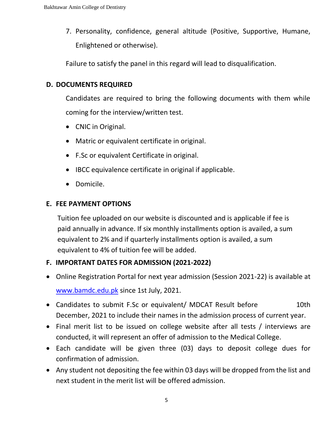7. Personality, confidence, general altitude (Positive, Supportive, Humane, Enlightened or otherwise).

Failure to satisfy the panel in this regard will lead to disqualification.

#### **D. DOCUMENTS REQUIRED**

Candidates are required to bring the following documents with them while coming for the interview/written test.

- CNIC in Original.
- Matric or equivalent certificate in original.
- F.Sc or equivalent Certificate in original.
- IBCC equivalence certificate in original if applicable.
- Domicile.

#### **E. FEE PAYMENT OPTIONS**

Tuition fee uploaded on our website is discounted and is applicable if fee is paid annually in advance. If six monthly installments option is availed, a sum [equivalent to 2% and](http://www.bamdc.edu.pk/) if quarterly installments option is availed, a sum equivalent to 4% of tuition fee will be added.

### **F. IMPORTANT DATES FOR ADMISSION (2021-2022)**

- Online Registration Portal for next year admission (Session 2021-22) is available at www.bamdc.edu.pk since 1st July, 2021.
- Candidates to submit F.Sc or equivalent/ MDCAT Result before 10th December, 2021 to include their names in the admission process of current year.
- Final merit list to be issued on college website after all tests / interviews are conducted, it will represent an offer of admission to the Medical College.
- Each candidate will be given three (03) days to deposit college dues for confirmation of admission.
- Any student not depositing the fee within 03 days will be dropped from the list and next student in the merit list will be offered admission.